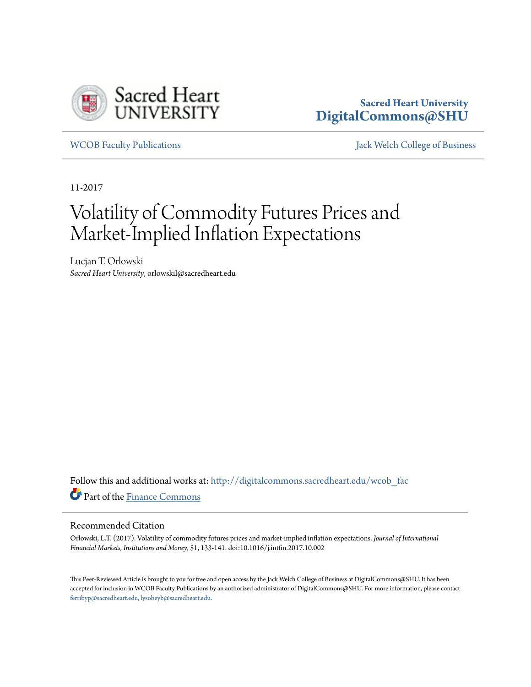

### **Sacred Heart University [DigitalCommons@SHU](http://digitalcommons.sacredheart.edu?utm_source=digitalcommons.sacredheart.edu%2Fwcob_fac%2F458&utm_medium=PDF&utm_campaign=PDFCoverPages)**

[WCOB Faculty Publications](http://digitalcommons.sacredheart.edu/wcob_fac?utm_source=digitalcommons.sacredheart.edu%2Fwcob_fac%2F458&utm_medium=PDF&utm_campaign=PDFCoverPages) [Jack Welch College of Business](http://digitalcommons.sacredheart.edu/wcob?utm_source=digitalcommons.sacredheart.edu%2Fwcob_fac%2F458&utm_medium=PDF&utm_campaign=PDFCoverPages)

11-2017

# Volatility of Commodity Futures Prices and Market-Implied Inflation Expectations

Lucjan T. Orlowski *Sacred Heart University*, orlowskil@sacredheart.edu

Follow this and additional works at: [http://digitalcommons.sacredheart.edu/wcob\\_fac](http://digitalcommons.sacredheart.edu/wcob_fac?utm_source=digitalcommons.sacredheart.edu%2Fwcob_fac%2F458&utm_medium=PDF&utm_campaign=PDFCoverPages) Part of the [Finance Commons](http://network.bepress.com/hgg/discipline/345?utm_source=digitalcommons.sacredheart.edu%2Fwcob_fac%2F458&utm_medium=PDF&utm_campaign=PDFCoverPages)

#### Recommended Citation

Orlowski, L.T. (2017). Volatility of commodity futures prices and market-implied inflation expectations. *Journal of International Financial Markets, Institutions and Money*, 51, 133-141. doi:10.1016/j.intfin.2017.10.002

This Peer-Reviewed Article is brought to you for free and open access by the Jack Welch College of Business at DigitalCommons@SHU. It has been accepted for inclusion in WCOB Faculty Publications by an authorized administrator of DigitalCommons@SHU. For more information, please contact [ferribyp@sacredheart.edu, lysobeyb@sacredheart.edu.](mailto:ferribyp@sacredheart.edu,%20lysobeyb@sacredheart.edu)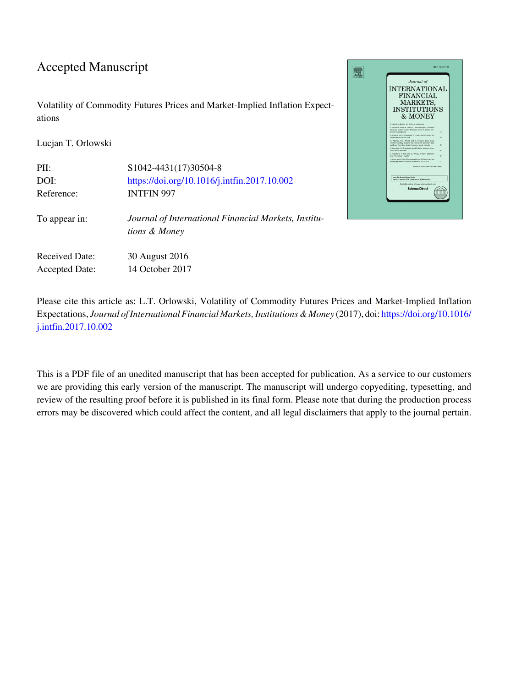### Accepted Manuscript

Volatility of Commodity Futures Prices and Market-Implied Inflation Expectations

Lucjan T. Orlowski

| PII:                  | S1042-4431(17)30504-8                                                 |
|-----------------------|-----------------------------------------------------------------------|
| DOI:                  | https://doi.org/10.1016/j.intfin.2017.10.002                          |
| Reference:            | <b>INTFIN 997</b>                                                     |
| To appear in:         | Journal of International Financial Markets, Institu-<br>tions & Money |
| <b>Received Date:</b> | 30 August 2016                                                        |
| <b>Accepted Date:</b> | 14 October 2017                                                       |



Please cite this article as: L.T. Orlowski, Volatility of Commodity Futures Prices and Market-Implied Inflation Expectations, *Journal of International Financial Markets, Institutions & Money* (2017), doi: [https://doi.org/10.1016/](https://doi.org/10.1016/j.intfin.2017.10.002) [j.intfin.2017.10.002](https://doi.org/10.1016/j.intfin.2017.10.002)

This is a PDF file of an unedited manuscript that has been accepted for publication. As a service to our customers we are providing this early version of the manuscript. The manuscript will undergo copyediting, typesetting, and review of the resulting proof before it is published in its final form. Please note that during the production process errors may be discovered which could affect the content, and all legal disclaimers that apply to the journal pertain.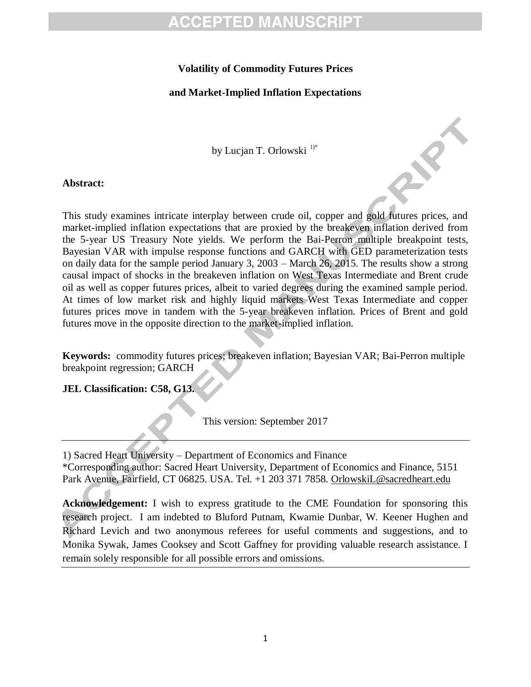### **Volatility of Commodity Futures Prices**

### **and Market-Implied Inflation Expectations**

by Lucjan T. Orlowski<sup>1)\*</sup>

#### **Abstract:**

This study examines intricate interplay between crude oil, copper and gold futures prices, and market-implied inflation expectations that are proxied by the breakeven inflation derived from the 5-year US Treasury Note yields. We perform the Bai-Perron multiple breakpoint tests, Bayesian VAR with impulse response functions and GARCH with GED parameterization tests on daily data for the sample period January 3, 2003 – March 26, 2015. The results show a strong causal impact of shocks in the breakeven inflation on West Texas Intermediate and Brent crude oil as well as copper futures prices, albeit to varied degrees during the examined sample period. At times of low market risk and highly liquid markets West Texas Intermediate and copper futures prices move in tandem with the 5-year breakeven inflation. Prices of Brent and gold futures move in the opposite direction to the market-implied inflation.

**Keywords:** commodity futures prices; breakeven inflation; Bayesian VAR; Bai-Perron multiple breakpoint regression; GARCH

### **JEL Classification: C58, G13.**

This version: September 2017

1) Sacred Heart University – Department of Economics and Finance \*Corresponding author: Sacred Heart University, Department of Economics and Finance, 5151 Park Avenue, Fairfield, CT 06825. USA. Tel. +1 203 371 7858. [OrlowskiL@sacredheart.edu](mailto:OrlowskiL@sacredheart.edu)

**Acknowledgement:** I wish to express gratitude to the CME Foundation for sponsoring this research project. I am indebted to Bluford Putnam, Kwamie Dunbar, W. Keener Hughen and Richard Levich and two anonymous referees for useful comments and suggestions, and to Monika Sywak, James Cooksey and Scott Gaffney for providing valuable research assistance. I remain solely responsible for all possible errors and omissions.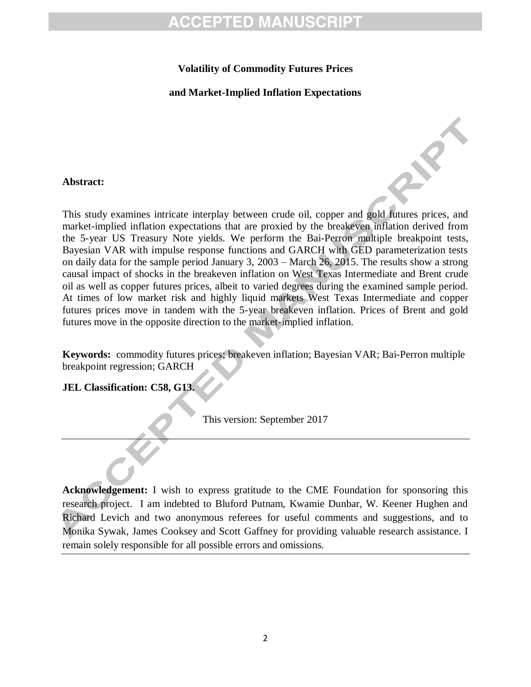### **Volatility of Commodity Futures Prices**

**and Market-Implied Inflation Expectations**

#### **Abstract:**

This study examines intricate interplay between crude oil, copper and gold futures prices, and market-implied inflation expectations that are proxied by the breakeven inflation derived from the 5-year US Treasury Note yields. We perform the Bai-Perron multiple breakpoint tests, Bayesian VAR with impulse response functions and GARCH with GED parameterization tests on daily data for the sample period January 3, 2003 – March 26, 2015. The results show a strong causal impact of shocks in the breakeven inflation on West Texas Intermediate and Brent crude oil as well as copper futures prices, albeit to varied degrees during the examined sample period. At times of low market risk and highly liquid markets West Texas Intermediate and copper futures prices move in tandem with the 5-year breakeven inflation. Prices of Brent and gold futures move in the opposite direction to the market-implied inflation.

**Keywords:** commodity futures prices; breakeven inflation; Bayesian VAR; Bai-Perron multiple breakpoint regression; GARCH

### **JEL Classification: C58, G13.**

This version: September 2017

**Acknowledgement:** I wish to express gratitude to the CME Foundation for sponsoring this research project. I am indebted to Bluford Putnam, Kwamie Dunbar, W. Keener Hughen and Richard Levich and two anonymous referees for useful comments and suggestions, and to Monika Sywak, James Cooksey and Scott Gaffney for providing valuable research assistance. I remain solely responsible for all possible errors and omissions.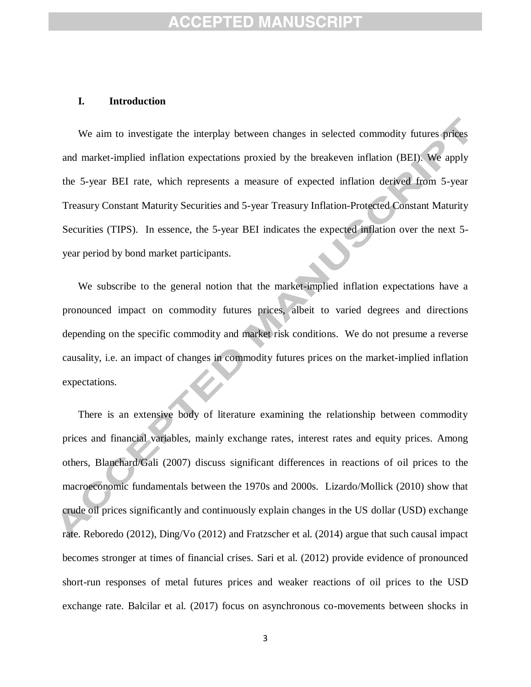#### **I. Introduction**

We aim to investigate the interplay between changes in selected commodity futures prices and market-implied inflation expectations proxied by the breakeven inflation (BEI). We apply the 5-year BEI rate, which represents a measure of expected inflation derived from 5-year Treasury Constant Maturity Securities and 5-year Treasury Inflation-Protected Constant Maturity Securities (TIPS). In essence, the 5-year BEI indicates the expected inflation over the next 5 year period by bond market participants.

We subscribe to the general notion that the market-implied inflation expectations have a pronounced impact on commodity futures prices, albeit to varied degrees and directions depending on the specific commodity and market risk conditions. We do not presume a reverse causality, i.e. an impact of changes in commodity futures prices on the market-implied inflation expectations.

There is an extensive body of literature examining the relationship between commodity prices and financial variables, mainly exchange rates, interest rates and equity prices. Among others, Blanchard/Gali (2007) discuss significant differences in reactions of oil prices to the macroeconomic fundamentals between the 1970s and 2000s. Lizardo/Mollick (2010) show that crude oil prices significantly and continuously explain changes in the US dollar (USD) exchange rate. Reboredo (2012), Ding/Vo (2012) and Fratzscher et al. (2014) argue that such causal impact becomes stronger at times of financial crises. Sari et al. (2012) provide evidence of pronounced short-run responses of metal futures prices and weaker reactions of oil prices to the USD exchange rate. Balcilar et al. (2017) focus on asynchronous co-movements between shocks in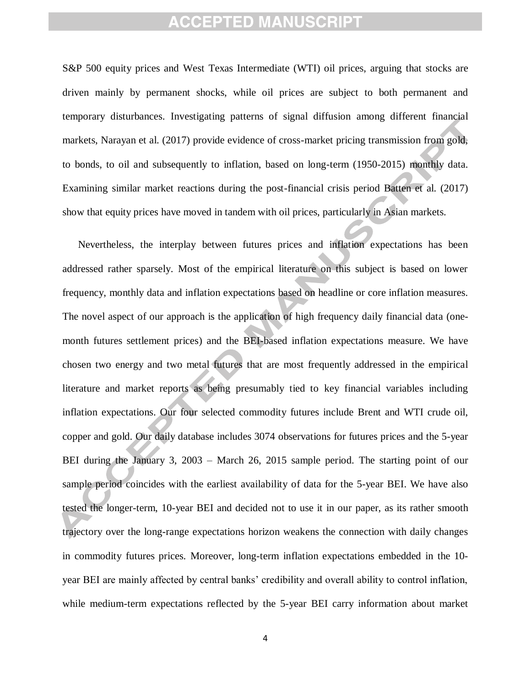S&P 500 equity prices and West Texas Intermediate (WTI) oil prices, arguing that stocks are driven mainly by permanent shocks, while oil prices are subject to both permanent and temporary disturbances. Investigating patterns of signal diffusion among different financial markets, Narayan et al. (2017) provide evidence of cross-market pricing transmission from gold, to bonds, to oil and subsequently to inflation, based on long-term (1950-2015) monthly data. Examining similar market reactions during the post-financial crisis period Batten et al. (2017) show that equity prices have moved in tandem with oil prices, particularly in Asian markets.

Nevertheless, the interplay between futures prices and inflation expectations has been addressed rather sparsely. Most of the empirical literature on this subject is based on lower frequency, monthly data and inflation expectations based on headline or core inflation measures. The novel aspect of our approach is the application of high frequency daily financial data (onemonth futures settlement prices) and the BEI-based inflation expectations measure. We have chosen two energy and two metal futures that are most frequently addressed in the empirical literature and market reports as being presumably tied to key financial variables including inflation expectations. Our four selected commodity futures include Brent and WTI crude oil, copper and gold. Our daily database includes 3074 observations for futures prices and the 5-year BEI during the January 3, 2003 – March 26, 2015 sample period. The starting point of our sample period coincides with the earliest availability of data for the 5-year BEI. We have also tested the longer-term, 10-year BEI and decided not to use it in our paper, as its rather smooth trajectory over the long-range expectations horizon weakens the connection with daily changes in commodity futures prices. Moreover, long-term inflation expectations embedded in the 10 year BEI are mainly affected by central banks' credibility and overall ability to control inflation, while medium-term expectations reflected by the 5-year BEI carry information about market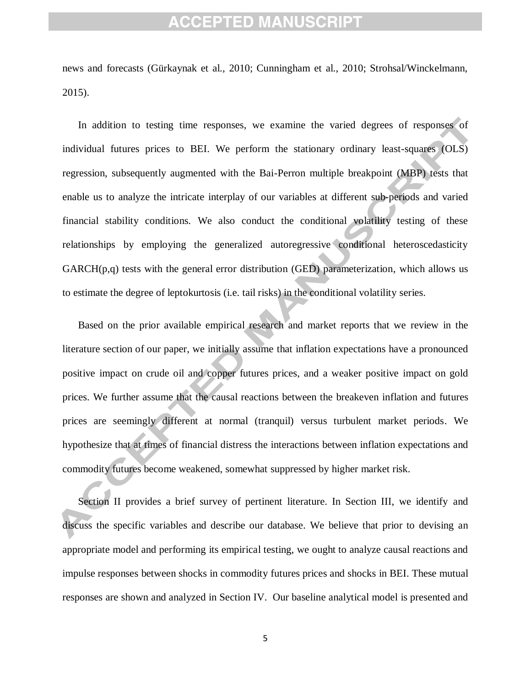news and forecasts (Gürkaynak et al., 2010; Cunningham et al., 2010; Strohsal/Winckelmann, 2015).

In addition to testing time responses, we examine the varied degrees of responses of individual futures prices to BEI. We perform the stationary ordinary least-squares (OLS) regression, subsequently augmented with the Bai-Perron multiple breakpoint (MBP) tests that enable us to analyze the intricate interplay of our variables at different sub-periods and varied financial stability conditions. We also conduct the conditional volatility testing of these relationships by employing the generalized autoregressive conditional heteroscedasticity  $GARCH(p,q)$  tests with the general error distribution (GED) parameterization, which allows us to estimate the degree of leptokurtosis (i.e. tail risks) in the conditional volatility series.

Based on the prior available empirical research and market reports that we review in the literature section of our paper, we initially assume that inflation expectations have a pronounced positive impact on crude oil and copper futures prices, and a weaker positive impact on gold prices. We further assume that the causal reactions between the breakeven inflation and futures prices are seemingly different at normal (tranquil) versus turbulent market periods. We hypothesize that at times of financial distress the interactions between inflation expectations and commodity futures become weakened, somewhat suppressed by higher market risk.

Section II provides a brief survey of pertinent literature. In Section III, we identify and discuss the specific variables and describe our database. We believe that prior to devising an appropriate model and performing its empirical testing, we ought to analyze causal reactions and impulse responses between shocks in commodity futures prices and shocks in BEI. These mutual responses are shown and analyzed in Section IV. Our baseline analytical model is presented and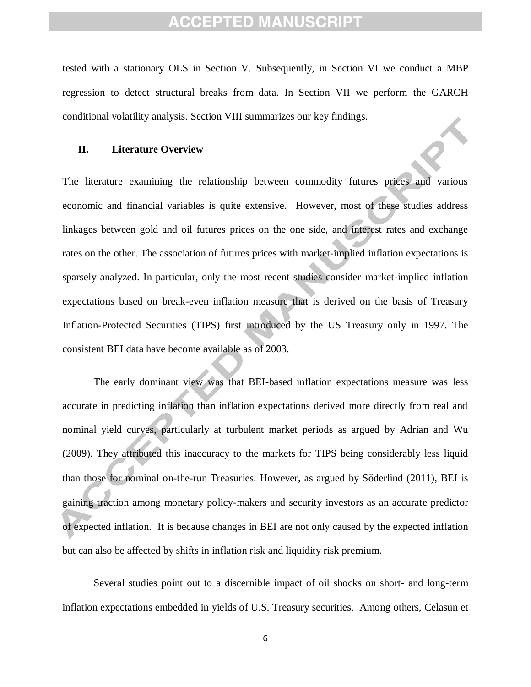tested with a stationary OLS in Section V. Subsequently, in Section VI we conduct a MBP regression to detect structural breaks from data. In Section VII we perform the GARCH conditional volatility analysis. Section VIII summarizes our key findings.

#### **II. Literature Overview**

The literature examining the relationship between commodity futures prices and various economic and financial variables is quite extensive. However, most of these studies address linkages between gold and oil futures prices on the one side, and interest rates and exchange rates on the other. The association of futures prices with market-implied inflation expectations is sparsely analyzed. In particular, only the most recent studies consider market-implied inflation expectations based on break-even inflation measure that is derived on the basis of Treasury Inflation-Protected Securities (TIPS) first introduced by the US Treasury only in 1997. The consistent BEI data have become available as of 2003.

The early dominant view was that BEI-based inflation expectations measure was less accurate in predicting inflation than inflation expectations derived more directly from real and nominal yield curves, particularly at turbulent market periods as argued by Adrian and Wu (2009). They attributed this inaccuracy to the markets for TIPS being considerably less liquid than those for nominal on-the-run Treasuries. However, as argued by Söderlind (2011), BEI is gaining traction among monetary policy-makers and security investors as an accurate predictor of expected inflation. It is because changes in BEI are not only caused by the expected inflation but can also be affected by shifts in inflation risk and liquidity risk premium.

Several studies point out to a discernible impact of oil shocks on short- and long-term inflation expectations embedded in yields of U.S. Treasury securities. Among others, Celasun et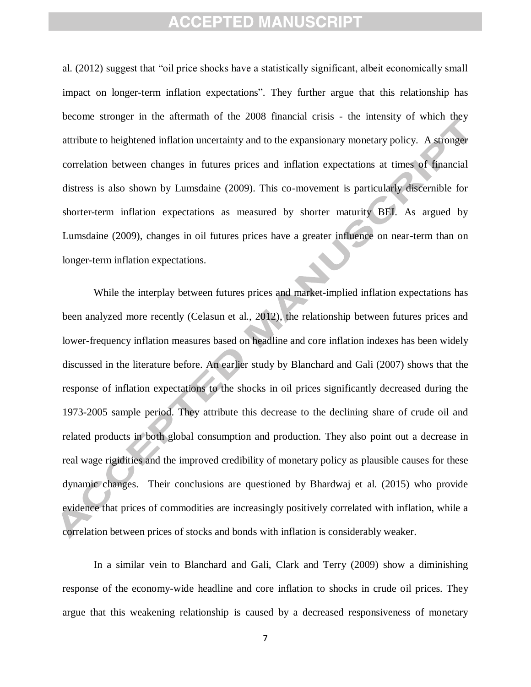al. (2012) suggest that "oil price shocks have a statistically significant, albeit economically small impact on longer-term inflation expectations". They further argue that this relationship has become stronger in the aftermath of the 2008 financial crisis - the intensity of which they attribute to heightened inflation uncertainty and to the expansionary monetary policy. A stronger correlation between changes in futures prices and inflation expectations at times of financial distress is also shown by Lumsdaine (2009). This co-movement is particularly discernible for shorter-term inflation expectations as measured by shorter maturity BEI. As argued by Lumsdaine (2009), changes in oil futures prices have a greater influence on near-term than on longer-term inflation expectations.

While the interplay between futures prices and market-implied inflation expectations has been analyzed more recently (Celasun et al., 2012), the relationship between futures prices and lower-frequency inflation measures based on headline and core inflation indexes has been widely discussed in the literature before. An earlier study by Blanchard and Gali (2007) shows that the response of inflation expectations to the shocks in oil prices significantly decreased during the 1973-2005 sample period. They attribute this decrease to the declining share of crude oil and related products in both global consumption and production. They also point out a decrease in real wage rigidities and the improved credibility of monetary policy as plausible causes for these dynamic changes. Their conclusions are questioned by Bhardwaj et al. (2015) who provide evidence that prices of commodities are increasingly positively correlated with inflation, while a correlation between prices of stocks and bonds with inflation is considerably weaker.

In a similar vein to Blanchard and Gali, Clark and Terry (2009) show a diminishing response of the economy-wide headline and core inflation to shocks in crude oil prices. They argue that this weakening relationship is caused by a decreased responsiveness of monetary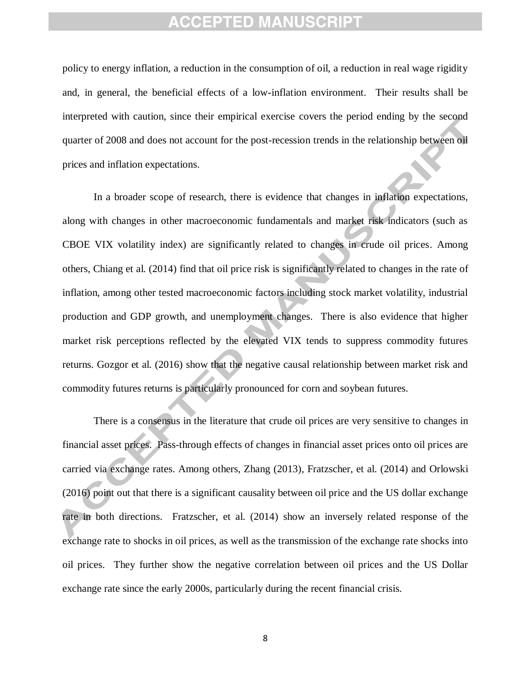policy to energy inflation, a reduction in the consumption of oil, a reduction in real wage rigidity and, in general, the beneficial effects of a low-inflation environment. Their results shall be interpreted with caution, since their empirical exercise covers the period ending by the second quarter of 2008 and does not account for the post-recession trends in the relationship between oil prices and inflation expectations.

In a broader scope of research, there is evidence that changes in inflation expectations, along with changes in other macroeconomic fundamentals and market risk indicators (such as CBOE VIX volatility index) are significantly related to changes in crude oil prices. Among others, Chiang et al. (2014) find that oil price risk is significantly related to changes in the rate of inflation, among other tested macroeconomic factors including stock market volatility, industrial production and GDP growth, and unemployment changes. There is also evidence that higher market risk perceptions reflected by the elevated VIX tends to suppress commodity futures returns. Gozgor et al. (2016) show that the negative causal relationship between market risk and commodity futures returns is particularly pronounced for corn and soybean futures.

There is a consensus in the literature that crude oil prices are very sensitive to changes in financial asset prices. Pass-through effects of changes in financial asset prices onto oil prices are carried via exchange rates. Among others, Zhang (2013), Fratzscher, et al. (2014) and Orlowski (2016) point out that there is a significant causality between oil price and the US dollar exchange rate in both directions. Fratzscher, et al. (2014) show an inversely related response of the exchange rate to shocks in oil prices, as well as the transmission of the exchange rate shocks into oil prices. They further show the negative correlation between oil prices and the US Dollar exchange rate since the early 2000s, particularly during the recent financial crisis.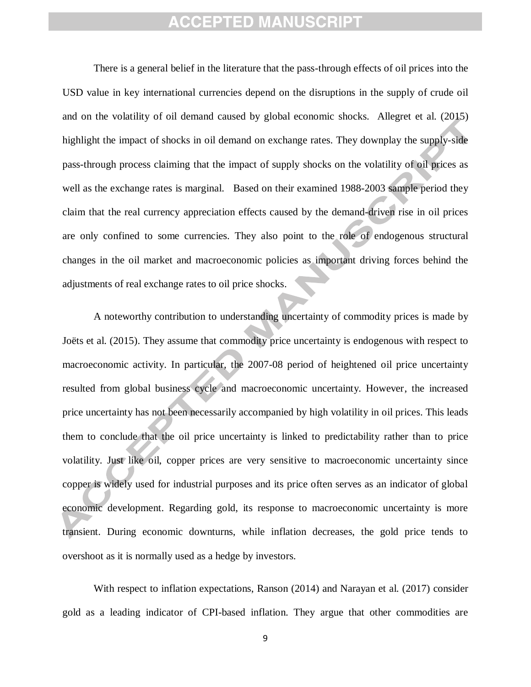There is a general belief in the literature that the pass-through effects of oil prices into the USD value in key international currencies depend on the disruptions in the supply of crude oil and on the volatility of oil demand caused by global economic shocks. Allegret et al. (2015) highlight the impact of shocks in oil demand on exchange rates. They downplay the supply-side pass-through process claiming that the impact of supply shocks on the volatility of oil prices as well as the exchange rates is marginal. Based on their examined 1988-2003 sample period they claim that the real currency appreciation effects caused by the demand-driven rise in oil prices are only confined to some currencies. They also point to the role of endogenous structural changes in the oil market and macroeconomic policies as important driving forces behind the adjustments of real exchange rates to oil price shocks.

A noteworthy contribution to understanding uncertainty of commodity prices is made by Joëts et al. (2015). They assume that commodity price uncertainty is endogenous with respect to macroeconomic activity. In particular, the 2007-08 period of heightened oil price uncertainty resulted from global business cycle and macroeconomic uncertainty. However, the increased price uncertainty has not been necessarily accompanied by high volatility in oil prices. This leads them to conclude that the oil price uncertainty is linked to predictability rather than to price volatility. Just like oil, copper prices are very sensitive to macroeconomic uncertainty since copper is widely used for industrial purposes and its price often serves as an indicator of global economic development. Regarding gold, its response to macroeconomic uncertainty is more transient. During economic downturns, while inflation decreases, the gold price tends to overshoot as it is normally used as a hedge by investors.

With respect to inflation expectations, Ranson (2014) and Narayan et al. (2017) consider gold as a leading indicator of CPI-based inflation. They argue that other commodities are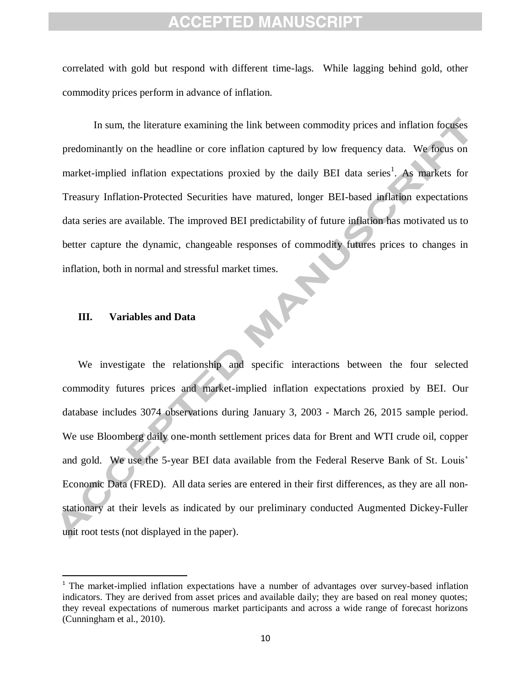correlated with gold but respond with different time-lags. While lagging behind gold, other commodity prices perform in advance of inflation.

In sum, the literature examining the link between commodity prices and inflation focuses predominantly on the headline or core inflation captured by low frequency data. We focus on market-implied inflation expectations proxied by the daily BEI data series<sup>1</sup>. As markets for Treasury Inflation-Protected Securities have matured, longer BEI-based inflation expectations data series are available. The improved BEI predictability of future inflation has motivated us to better capture the dynamic, changeable responses of commodity futures prices to changes in inflation, both in normal and stressful market times.<br>III. Variables and Data

#### **III. Variables and Data**

 $\overline{\phantom{a}}$ 

We investigate the relationship and specific interactions between the four selected commodity futures prices and market-implied inflation expectations proxied by BEI. Our database includes 3074 observations during January 3, 2003 - March 26, 2015 sample period. We use Bloomberg daily one-month settlement prices data for Brent and WTI crude oil, copper and gold. We use the 5-year BEI data available from the Federal Reserve Bank of St. Louis' Economic Data (FRED). All data series are entered in their first differences, as they are all nonstationary at their levels as indicated by our preliminary conducted Augmented Dickey-Fuller unit root tests (not displayed in the paper).

<sup>&</sup>lt;sup>1</sup> The market-implied inflation expectations have a number of advantages over survey-based inflation indicators. They are derived from asset prices and available daily; they are based on real money quotes; they reveal expectations of numerous market participants and across a wide range of forecast horizons (Cunningham et al., 2010).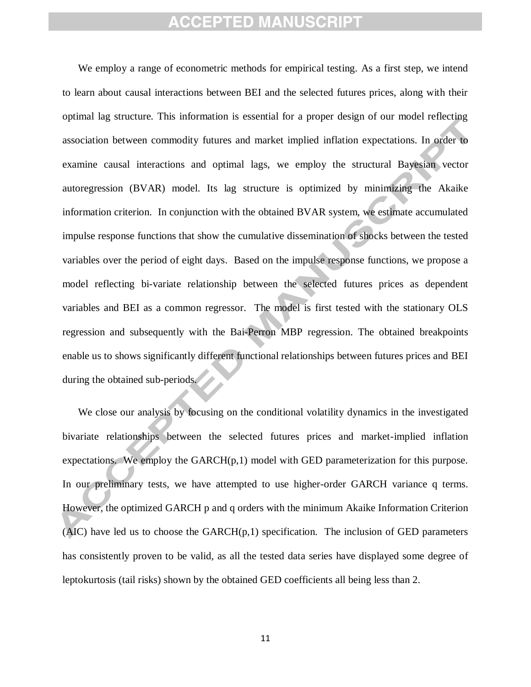We employ a range of econometric methods for empirical testing. As a first step, we intend to learn about causal interactions between BEI and the selected futures prices, along with their optimal lag structure. This information is essential for a proper design of our model reflecting association between commodity futures and market implied inflation expectations. In order to examine causal interactions and optimal lags, we employ the structural Bayesian vector autoregression (BVAR) model. Its lag structure is optimized by minimizing the Akaike information criterion. In conjunction with the obtained BVAR system, we estimate accumulated impulse response functions that show the cumulative dissemination of shocks between the tested variables over the period of eight days. Based on the impulse response functions, we propose a model reflecting bi-variate relationship between the selected futures prices as dependent variables and BEI as a common regressor. The model is first tested with the stationary OLS regression and subsequently with the Bai-Perron MBP regression. The obtained breakpoints enable us to shows significantly different functional relationships between futures prices and BEI during the obtained sub-periods.

We close our analysis by focusing on the conditional volatility dynamics in the investigated bivariate relationships between the selected futures prices and market-implied inflation expectations. We employ the  $GARCH(p,1)$  model with GED parameterization for this purpose. In our preliminary tests, we have attempted to use higher-order GARCH variance q terms. However, the optimized GARCH p and q orders with the minimum Akaike Information Criterion  $(AIC)$  have led us to choose the  $GARCH(p,1)$  specification. The inclusion of GED parameters has consistently proven to be valid, as all the tested data series have displayed some degree of leptokurtosis (tail risks) shown by the obtained GED coefficients all being less than 2.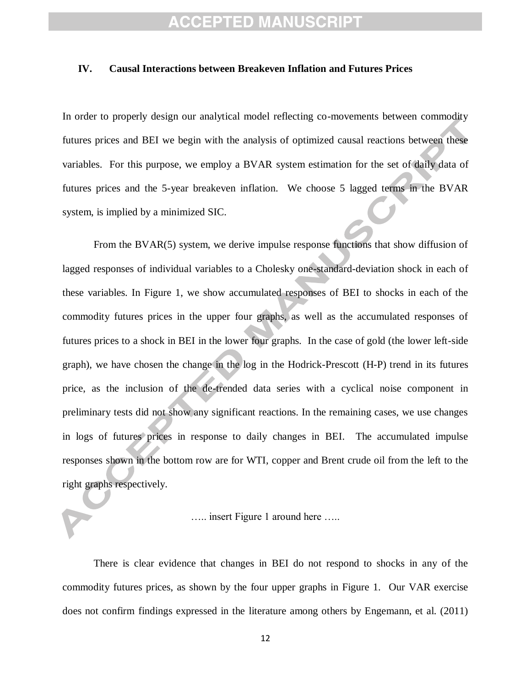#### **IV. Causal Interactions between Breakeven Inflation and Futures Prices**

In order to properly design our analytical model reflecting co-movements between commodity futures prices and BEI we begin with the analysis of optimized causal reactions between these variables. For this purpose, we employ a BVAR system estimation for the set of daily data of futures prices and the 5-year breakeven inflation. We choose 5 lagged terms in the BVAR system, is implied by a minimized SIC.

From the BVAR(5) system, we derive impulse response functions that show diffusion of lagged responses of individual variables to a Cholesky one-standard-deviation shock in each of these variables. In Figure 1, we show accumulated responses of BEI to shocks in each of the commodity futures prices in the upper four graphs, as well as the accumulated responses of futures prices to a shock in BEI in the lower four graphs. In the case of gold (the lower left-side graph), we have chosen the change in the log in the Hodrick-Prescott (H-P) trend in its futures price, as the inclusion of the de-trended data series with a cyclical noise component in preliminary tests did not show any significant reactions. In the remaining cases, we use changes in logs of futures prices in response to daily changes in BEI. The accumulated impulse responses shown in the bottom row are for WTI, copper and Brent crude oil from the left to the right graphs respectively.

….. insert Figure 1 around here …..

There is clear evidence that changes in BEI do not respond to shocks in any of the commodity futures prices, as shown by the four upper graphs in Figure 1. Our VAR exercise does not confirm findings expressed in the literature among others by Engemann, et al. (2011)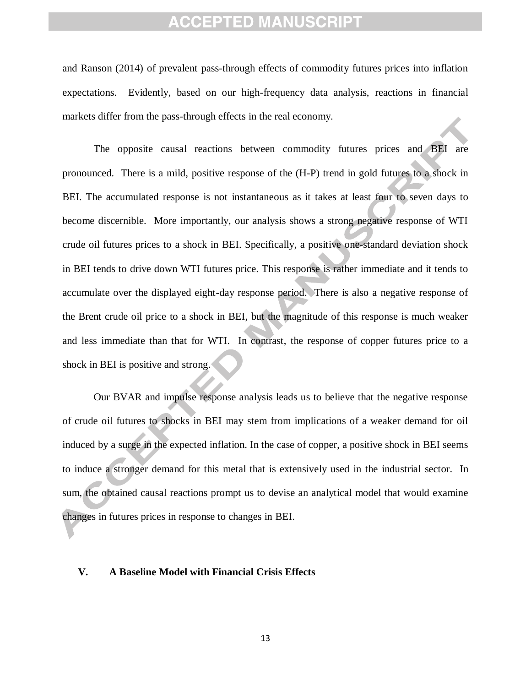and Ranson (2014) of prevalent pass-through effects of commodity futures prices into inflation expectations. Evidently, based on our high-frequency data analysis, reactions in financial markets differ from the pass-through effects in the real economy.

The opposite causal reactions between commodity futures prices and BEI are pronounced. There is a mild, positive response of the (H-P) trend in gold futures to a shock in BEI. The accumulated response is not instantaneous as it takes at least four to seven days to become discernible. More importantly, our analysis shows a strong negative response of WTI crude oil futures prices to a shock in BEI. Specifically, a positive one-standard deviation shock in BEI tends to drive down WTI futures price. This response is rather immediate and it tends to accumulate over the displayed eight-day response period. There is also a negative response of the Brent crude oil price to a shock in BEI, but the magnitude of this response is much weaker and less immediate than that for WTI. In contrast, the response of copper futures price to a shock in BEI is positive and strong.

Our BVAR and impulse response analysis leads us to believe that the negative response of crude oil futures to shocks in BEI may stem from implications of a weaker demand for oil induced by a surge in the expected inflation. In the case of copper, a positive shock in BEI seems to induce a stronger demand for this metal that is extensively used in the industrial sector. In sum, the obtained causal reactions prompt us to devise an analytical model that would examine changes in futures prices in response to changes in BEI.

### **V. A Baseline Model with Financial Crisis Effects**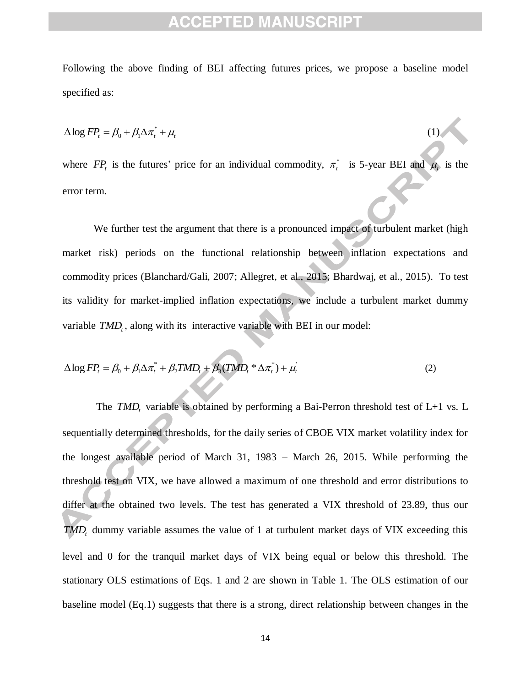Following the above finding of BEI affecting futures prices, we propose a baseline model specified as:

$$
\Delta \log FP_t = \beta_0 + \beta_1 \Delta \pi_t^* + \mu_t \tag{1}
$$

where  $FP<sub>t</sub>$  is the futures' price for an individual commodity,  $\pi<sub>t</sub><sup>*</sup>$  is 5-year BEI and  $\mu<sub>t</sub>$  is the error term.

We further test the argument that there is a pronounced impact of turbulent market (high market risk) periods on the functional relationship between inflation expectations and commodity prices (Blanchard/Gali, 2007; Allegret, et al., 2015; Bhardwaj, et al., 2015). To test its validity for market-implied inflation expectations, we include a turbulent market dummy variable *TMD*<sup>*t*</sup>, along with its interactive variable with BEI in our model:

$$
\Delta \log FP_t = \beta_0 + \beta_1 \Delta \pi_t^* + \beta_2 TMD_t + \beta_3 (TMD_t^* \Delta \pi_t^*) + \mu_t
$$
\n(2)

The  $\mathit{TMD}_t$  variable is obtained by performing a Bai-Perron threshold test of L+1 vs. L sequentially determined thresholds, for the daily series of CBOE VIX market volatility index for the longest available period of March 31, 1983 – March 26, 2015. While performing the threshold test on VIX, we have allowed a maximum of one threshold and error distributions to differ at the obtained two levels. The test has generated a VIX threshold of 23.89, thus our *TMD<sup>t</sup>* dummy variable assumes the value of 1 at turbulent market days of VIX exceeding this level and 0 for the tranquil market days of VIX being equal or below this threshold. The stationary OLS estimations of Eqs. 1 and 2 are shown in Table 1. The OLS estimation of our baseline model (Eq.1) suggests that there is a strong, direct relationship between changes in the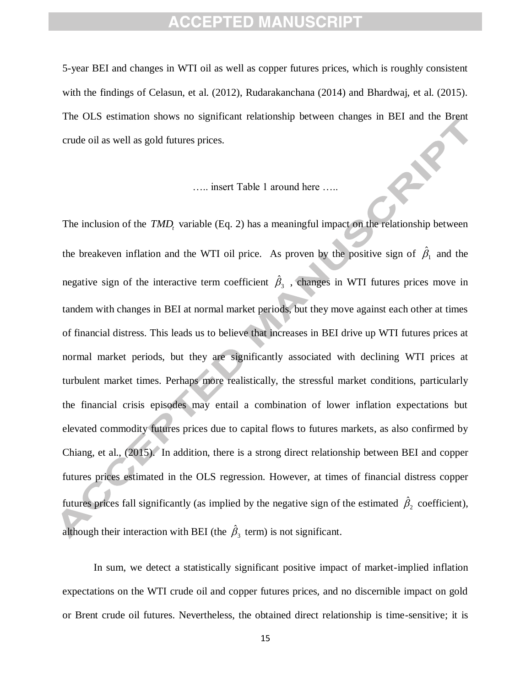5-year BEI and changes in WTI oil as well as copper futures prices, which is roughly consistent with the findings of Celasun, et al. (2012), Rudarakanchana (2014) and Bhardwaj, et al. (2015). The OLS estimation shows no significant relationship between changes in BEI and the Brent crude oil as well as gold futures prices.

….. insert Table 1 around here …..

The inclusion of the *TMD*<sub>*t*</sub> variable (Eq. 2) has a meaningful impact on the relationship between the breakeven inflation and the WTI oil price. As proven by the positive sign of  $\hat{\beta}_1$  and the negative sign of the interactive term coefficient  $\hat{\beta}_3$ , changes in WTI futures prices move in tandem with changes in BEI at normal market periods, but they move against each other at times of financial distress. This leads us to believe that increases in BEI drive up WTI futures prices at normal market periods, but they are significantly associated with declining WTI prices at turbulent market times. Perhaps more realistically, the stressful market conditions, particularly the financial crisis episodes may entail a combination of lower inflation expectations but elevated commodity futures prices due to capital flows to futures markets, as also confirmed by Chiang, et al., (2015). In addition, there is a strong direct relationship between BEI and copper futures prices estimated in the OLS regression. However, at times of financial distress copper futures prices fall significantly (as implied by the negative sign of the estimated  $\hat{\beta}_2$  coefficient), although their interaction with BEI (the  $\hat{\beta}_3$  term) is not significant.

In sum, we detect a statistically significant positive impact of market-implied inflation expectations on the WTI crude oil and copper futures prices, and no discernible impact on gold or Brent crude oil futures. Nevertheless, the obtained direct relationship is time-sensitive; it is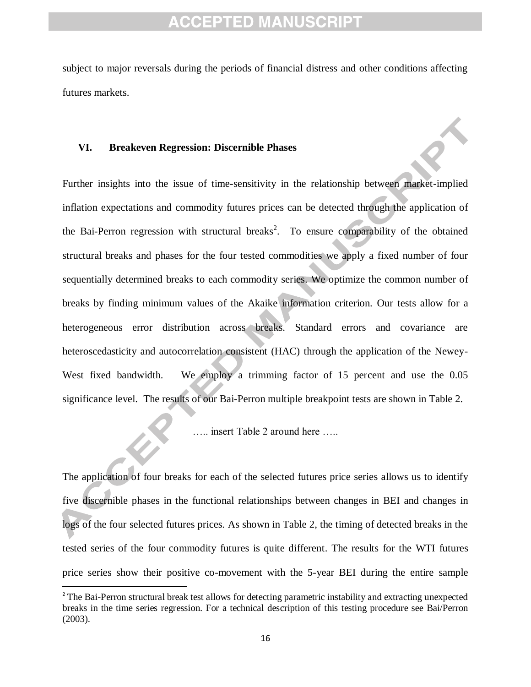subject to major reversals during the periods of financial distress and other conditions affecting futures markets.

#### **VI. Breakeven Regression: Discernible Phases**

Further insights into the issue of time-sensitivity in the relationship between market-implied inflation expectations and commodity futures prices can be detected through the application of the Bai-Perron regression with structural breaks<sup>2</sup>. To ensure comparability of the obtained structural breaks and phases for the four tested commodities we apply a fixed number of four sequentially determined breaks to each commodity series. We optimize the common number of breaks by finding minimum values of the Akaike information criterion. Our tests allow for a heterogeneous error distribution across breaks. Standard errors and covariance are heteroscedasticity and autocorrelation consistent (HAC) through the application of the Newey-West fixed bandwidth. We employ a trimming factor of 15 percent and use the 0.05 significance level. The results of our Bai-Perron multiple breakpoint tests are shown in Table 2.

….. insert Table 2 around here …..

The application of four breaks for each of the selected futures price series allows us to identify five discernible phases in the functional relationships between changes in BEI and changes in logs of the four selected futures prices. As shown in Table 2, the timing of detected breaks in the tested series of the four commodity futures is quite different. The results for the WTI futures price series show their positive co-movement with the 5-year BEI during the entire sample

 $\overline{\phantom{a}}$ 

<sup>&</sup>lt;sup>2</sup> The Bai-Perron structural break test allows for detecting parametric instability and extracting unexpected breaks in the time series regression. For a technical description of this testing procedure see Bai/Perron (2003).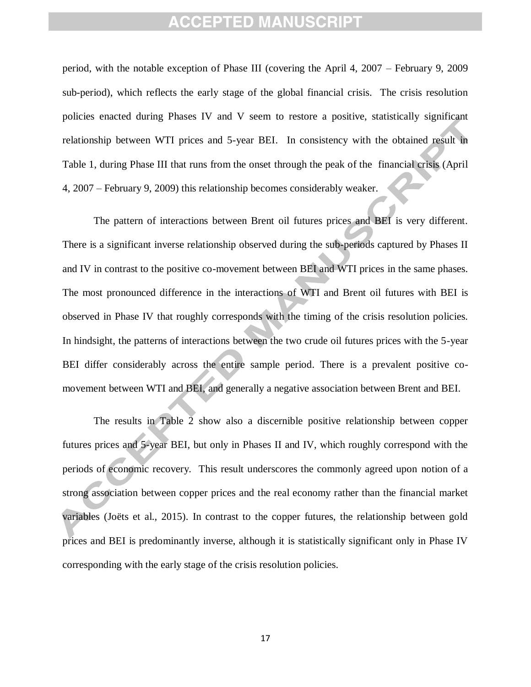period, with the notable exception of Phase III (covering the April 4, 2007 – February 9, 2009 sub-period), which reflects the early stage of the global financial crisis. The crisis resolution policies enacted during Phases IV and V seem to restore a positive, statistically significant relationship between WTI prices and 5-year BEI. In consistency with the obtained result in Table 1, during Phase III that runs from the onset through the peak of the financial crisis (April 4, 2007 – February 9, 2009) this relationship becomes considerably weaker.

The pattern of interactions between Brent oil futures prices and BEI is very different. There is a significant inverse relationship observed during the sub-periods captured by Phases II and IV in contrast to the positive co-movement between BEI and WTI prices in the same phases. The most pronounced difference in the interactions of WTI and Brent oil futures with BEI is observed in Phase IV that roughly corresponds with the timing of the crisis resolution policies. In hindsight, the patterns of interactions between the two crude oil futures prices with the 5-year BEI differ considerably across the entire sample period. There is a prevalent positive comovement between WTI and BEI, and generally a negative association between Brent and BEI.

The results in Table 2 show also a discernible positive relationship between copper futures prices and 5-year BEI, but only in Phases II and IV, which roughly correspond with the periods of economic recovery. This result underscores the commonly agreed upon notion of a strong association between copper prices and the real economy rather than the financial market variables (Joëts et al., 2015). In contrast to the copper futures, the relationship between gold prices and BEI is predominantly inverse, although it is statistically significant only in Phase IV corresponding with the early stage of the crisis resolution policies.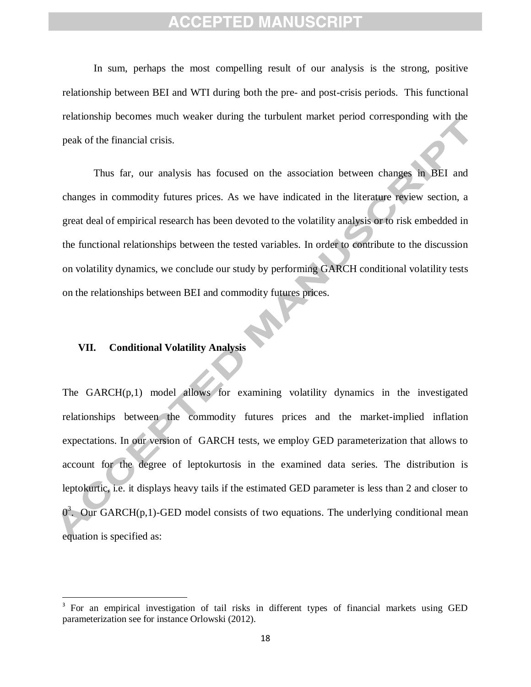In sum, perhaps the most compelling result of our analysis is the strong, positive relationship between BEI and WTI during both the pre- and post-crisis periods. This functional relationship becomes much weaker during the turbulent market period corresponding with the peak of the financial crisis.

Thus far, our analysis has focused on the association between changes in BEI and changes in commodity futures prices. As we have indicated in the literature review section, a great deal of empirical research has been devoted to the volatility analysis or to risk embedded in the functional relationships between the tested variables. In order to contribute to the discussion on volatility dynamics, we conclude our study by performing GARCH conditional volatility tests on the relationships between BEI and commodity futures prices.

### **VII. Conditional Volatility Analysis**

 $\overline{a}$ 

The GARCH $(p,1)$  model allows for examining volatility dynamics in the investigated relationships between the commodity futures prices and the market-implied inflation expectations. In our version of GARCH tests, we employ GED parameterization that allows to account for the degree of leptokurtosis in the examined data series. The distribution is leptokurtic, i.e. it displays heavy tails if the estimated GED parameter is less than 2 and closer to  $0<sup>3</sup>$ . Our GARCH(p,1)-GED model consists of two equations. The underlying conditional mean equation is specified as:

<sup>&</sup>lt;sup>3</sup> For an empirical investigation of tail risks in different types of financial markets using GED parameterization see for instance Orlowski (2012).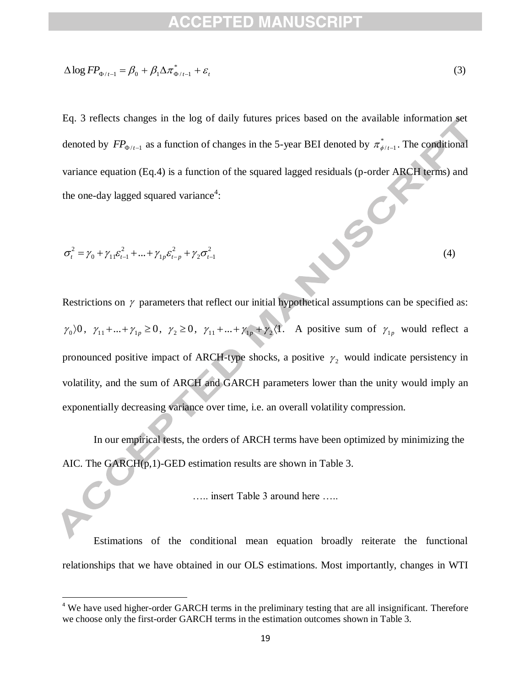$$
\Delta \log FP_{\Phi/t-1} = \beta_0 + \beta_1 \Delta \pi_{\Phi/t-1}^* + \varepsilon_t \tag{3}
$$

Eq. 3 reflects changes in the log of daily futures prices based on the available information set denoted by  $FP_{\Phi/t-1}$  as a function of changes in the 5-year BEI denoted by  $\pi^*_{\phi/t-1}$ . The conditional variance equation (Eq.4) is a function of the squared lagged residuals (p-order ARCH terms) and the one-day lagged squared variance<sup>4</sup>:

$$
\sigma_t^2 = \gamma_0 + \gamma_{11} \varepsilon_{t-1}^2 + ... + \gamma_{1p} \varepsilon_{t-p}^2 + \gamma_2 \sigma_{t-1}^2
$$
\n(4)

Δlog  $FP_{\Phi_{t,i-1}} = β_0 + β_1Δπ_{\Phi_{t,i-1}}^+ + ε_t$ <br>
Eq. 3 reflects changes in the log of daily futures<br>
tenoted by  $FP_{\Phi_{t,i-1}}$  as a function of changes in the<br>
variance equation (Eq.4) is a function of the square<br>
the one-day l Restrictions on  $\gamma$  parameters that reflect our initial hypothetical assumptions can be specified as:  $\gamma_0$  0,  $\gamma_{11}$  + ... +  $\gamma_{1p} \ge 0$ ,  $\gamma_2 \ge 0$ ,  $\gamma_{11}$  + ... +  $\gamma_{1p}$  +  $\gamma_2$  (1. A positive sum of  $\gamma_{1p}$  would reflect a pronounced positive impact of ARCH-type shocks, a positive  $\gamma_2$  would indicate persistency in volatility, and the sum of ARCH and GARCH parameters lower than the unity would imply an exponentially decreasing variance over time, i.e. an overall volatility compression.

In our empirical tests, the orders of ARCH terms have been optimized by minimizing the AIC. The GARCH(p,1)-GED estimation results are shown in Table 3.

….. insert Table 3 around here …..

Estimations of the conditional mean equation broadly reiterate the functional relationships that we have obtained in our OLS estimations. Most importantly, changes in WTI

 $\overline{a}$ 

<sup>&</sup>lt;sup>4</sup> We have used higher-order GARCH terms in the preliminary testing that are all insignificant. Therefore we choose only the first-order GARCH terms in the estimation outcomes shown in Table 3.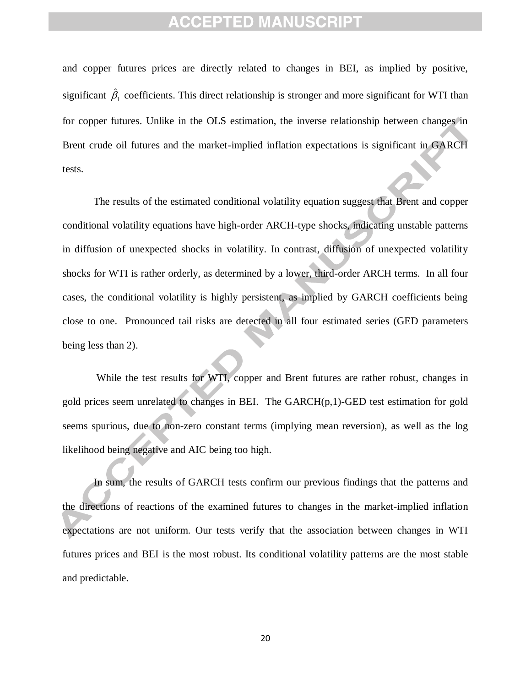and copper futures prices are directly related to changes in BEI, as implied by positive, significant  $\hat{\beta}_1$  coefficients. This direct relationship is stronger and more significant for WTI than for copper futures. Unlike in the OLS estimation, the inverse relationship between changes in Brent crude oil futures and the market-implied inflation expectations is significant in GARCH tests.

The results of the estimated conditional volatility equation suggest that Brent and copper conditional volatility equations have high-order ARCH-type shocks, indicating unstable patterns in diffusion of unexpected shocks in volatility. In contrast, diffusion of unexpected volatility shocks for WTI is rather orderly, as determined by a lower, third-order ARCH terms. In all four cases, the conditional volatility is highly persistent, as implied by GARCH coefficients being close to one. Pronounced tail risks are detected in all four estimated series (GED parameters being less than 2).

While the test results for WTI, copper and Brent futures are rather robust, changes in gold prices seem unrelated to changes in BEI. The GARCH(p,1)-GED test estimation for gold seems spurious, due to non-zero constant terms (implying mean reversion), as well as the log likelihood being negative and AIC being too high.

In sum, the results of GARCH tests confirm our previous findings that the patterns and the directions of reactions of the examined futures to changes in the market-implied inflation expectations are not uniform. Our tests verify that the association between changes in WTI futures prices and BEI is the most robust. Its conditional volatility patterns are the most stable and predictable.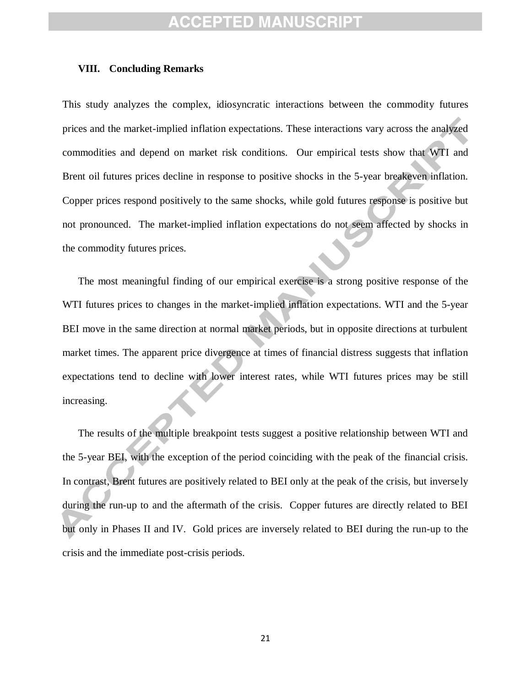#### **VIII. Concluding Remarks**

This study analyzes the complex, idiosyncratic interactions between the commodity futures prices and the market-implied inflation expectations. These interactions vary across the analyzed commodities and depend on market risk conditions. Our empirical tests show that WTI and Brent oil futures prices decline in response to positive shocks in the 5-year breakeven inflation. Copper prices respond positively to the same shocks, while gold futures response is positive but not pronounced. The market-implied inflation expectations do not seem affected by shocks in the commodity futures prices.

The most meaningful finding of our empirical exercise is a strong positive response of the WTI futures prices to changes in the market-implied inflation expectations. WTI and the 5-year BEI move in the same direction at normal market periods, but in opposite directions at turbulent market times. The apparent price divergence at times of financial distress suggests that inflation expectations tend to decline with lower interest rates, while WTI futures prices may be still increasing.

The results of the multiple breakpoint tests suggest a positive relationship between WTI and the 5-year BEI, with the exception of the period coinciding with the peak of the financial crisis. In contrast, Brent futures are positively related to BEI only at the peak of the crisis, but inversely during the run-up to and the aftermath of the crisis. Copper futures are directly related to BEI but only in Phases II and IV. Gold prices are inversely related to BEI during the run-up to the crisis and the immediate post-crisis periods.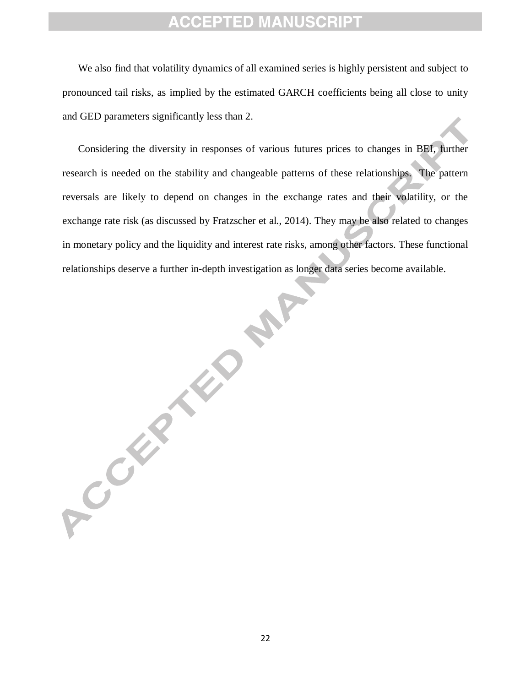We also find that volatility dynamics of all examined series is highly persistent and subject to pronounced tail risks, as implied by the estimated GARCH coefficients being all close to unity and GED parameters significantly less than 2.

Considering the diversity in responses of various futures prices to changes in BEI, further research is needed on the stability and changeable patterns of these relationships. The pattern reversals are likely to depend on changes in the exchange rates and their volatility, or the exchange rate risk (as discussed by Fratzscher et al., 2014). They may be also related to changes in monetary policy and the liquidity and interest rate risks, among other factors. These functional relationships deserve a further in-depth investigation as longer data series become available.

RAF

ACCEPTER 18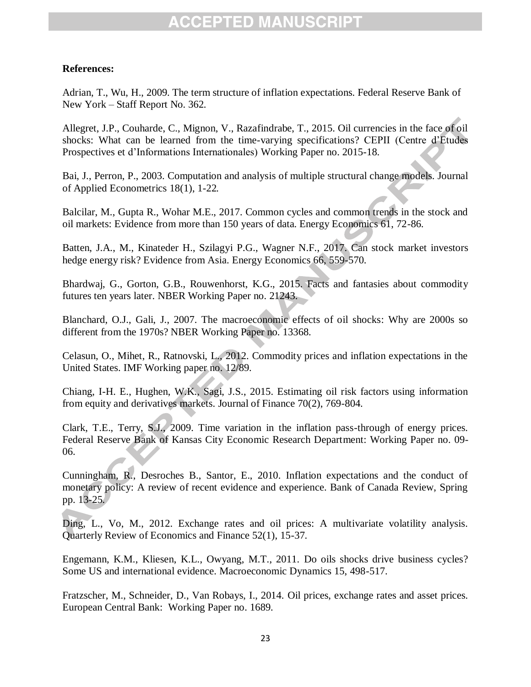### **References:**

Adrian, T., Wu, H., 2009. The term structure of inflation expectations. Federal Reserve Bank of New York – Staff Report No. 362.

Allegret, J.P., Couharde, C., Mignon, V., Razafindrabe, T., 2015. Oil currencies in the face of oil shocks: What can be learned from the time-varying specifications? CEPII (Centre d'Etudes Prospectives et d'Informations Internationales) Working Paper no. 2015-18.

Bai, J., Perron, P., 2003. Computation and analysis of multiple structural change models. Journal of Applied Econometrics 18(1), 1-22*.*

Balcilar, M., Gupta R., Wohar M.E., 2017. Common cycles and common trends in the stock and oil markets: Evidence from more than 150 years of data. Energy Economics 61, 72-86.

Batten, J.A., M., Kinateder H., Szilagyi P.G., Wagner N.F., 2017. Can stock market investors hedge energy risk? Evidence from Asia. Energy Economics 66, 559-570.

Bhardwaj, G., Gorton, G.B., Rouwenhorst, K.G., 2015. Facts and fantasies about commodity futures ten years later. NBER Working Paper no. 21243.

Blanchard, O.J., Gali, J., 2007. The macroeconomic effects of oil shocks: Why are 2000s so different from the 1970s? NBER Working Paper no. 13368.

Celasun, O., Mihet, R., Ratnovski, L., 2012. Commodity prices and inflation expectations in the United States. IMF Working paper no. 12/89.

Chiang, I-H. E., Hughen, W.K., Sagi, J.S., 2015. Estimating oil risk factors using information from equity and derivatives markets. Journal of Finance 70(2), 769-804.

Clark, T.E., Terry, S.J., 2009. Time variation in the inflation pass-through of energy prices. Federal Reserve Bank of Kansas City Economic Research Department: Working Paper no. 09- 06.

Cunningham, R., Desroches B., Santor, E., 2010. Inflation expectations and the conduct of monetary policy: A review of recent evidence and experience. Bank of Canada Review, Spring pp. 13-25.

Ding, L., Vo, M., 2012. Exchange rates and oil prices: A multivariate volatility analysis. Quarterly Review of Economics and Finance 52(1), 15-37.

Engemann, K.M., Kliesen, K.L., Owyang, M.T., 2011. Do oils shocks drive business cycles? Some US and international evidence. Macroeconomic Dynamics 15, 498-517.

Fratzscher, M., Schneider, D., Van Robays, I., 2014. Oil prices, exchange rates and asset prices. European Central Bank: Working Paper no. 1689.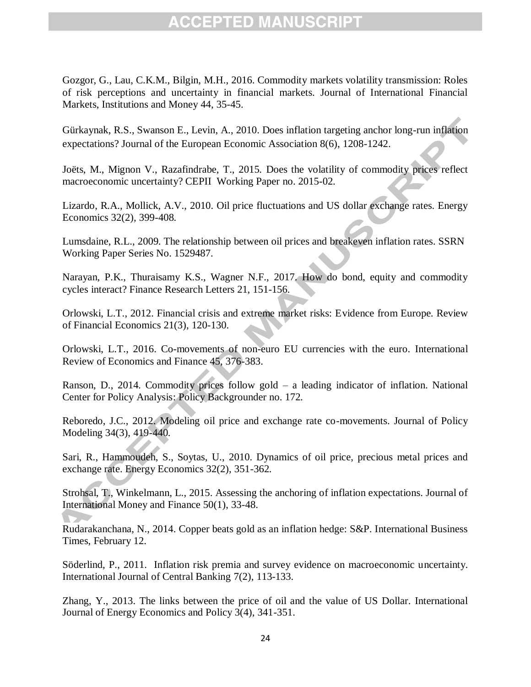Gozgor, G., Lau, C.K.M., Bilgin, M.H., 2016. Commodity markets volatility transmission: Roles of risk perceptions and uncertainty in financial markets. Journal of International Financial Markets, Institutions and Money 44, 35-45.

Gürkaynak, R.S., Swanson E., Levin, A., 2010. Does inflation targeting anchor long-run inflation expectations? Journal of the European Economic Association 8(6), 1208-1242.

Joëts, M., Mignon V., Razafindrabe, T., 2015. Does the volatility of commodity prices reflect macroeconomic uncertainty? CEPII Working Paper no. 2015-02.

Lizardo, R.A., Mollick, A.V., 2010. Oil price fluctuations and US dollar exchange rates. Energy Economics 32(2), 399-408.

Lumsdaine, R.L., 2009. The relationship between oil prices and breakeven inflation rates. SSRN Working Paper Series No. 1529487.

Narayan, P.K., Thuraisamy K.S., Wagner N.F., 2017. How do bond, equity and commodity cycles interact? Finance Research Letters 21, 151-156.

Orlowski, L.T., 2012. Financial crisis and extreme market risks: Evidence from Europe. Review of Financial Economics 21(3), 120-130.

Orlowski, L.T., 2016. Co-movements of non-euro EU currencies with the euro. International Review of Economics and Finance 45, 376-383.

Ranson, D., 2014. Commodity prices follow gold – a leading indicator of inflation. National Center for Policy Analysis: Policy Backgrounder no. 172.

Reboredo, J.C., 2012. Modeling oil price and exchange rate co-movements. Journal of Policy Modeling 34(3), 419-440.

Sari, R., Hammoudeh, S., Soytas, U., 2010. Dynamics of oil price, precious metal prices and exchange rate. Energy Economics 32(2), 351-362.

Strohsal, T., Winkelmann, L., 2015. Assessing the anchoring of inflation expectations. Journal of International Money and Finance 50(1), 33-48.

Rudarakanchana, N., 2014. Copper beats gold as an inflation hedge: S&P. International Business Times, February 12.

Söderlind, P., 2011. Inflation risk premia and survey evidence on macroeconomic uncertainty. International Journal of Central Banking 7(2), 113-133.

Zhang, Y., 2013. The links between the price of oil and the value of US Dollar. International Journal of Energy Economics and Policy 3(4), 341-351.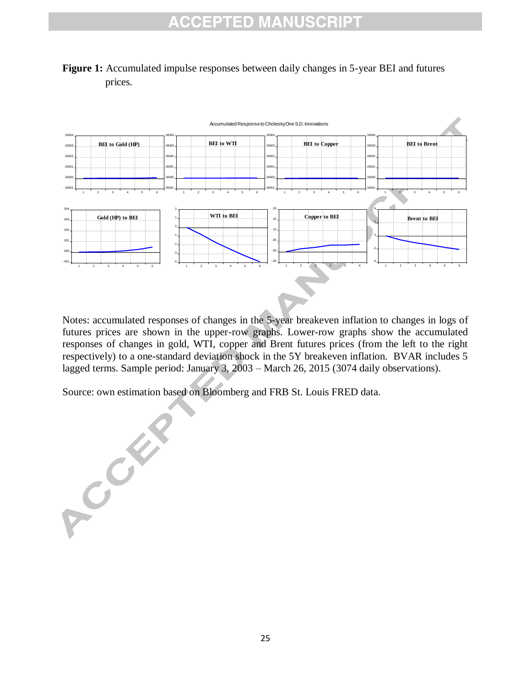



Notes: accumulated responses of changes in the 5-year breakeven inflation to changes in logs of futures prices are shown in the upper-row graphs. Lower-row graphs show the accumulated responses of changes in gold, WTI, copper and Brent futures prices (from the left to the right respectively) to a one-standard deviation shock in the 5Y breakeven inflation. BVAR includes 5 lagged terms. Sample period: January 3, 2003 – March 26, 2015 (3074 daily observations).

Source: own estimation based on Bloomberg and FRB St. Louis FRED data.

A Collar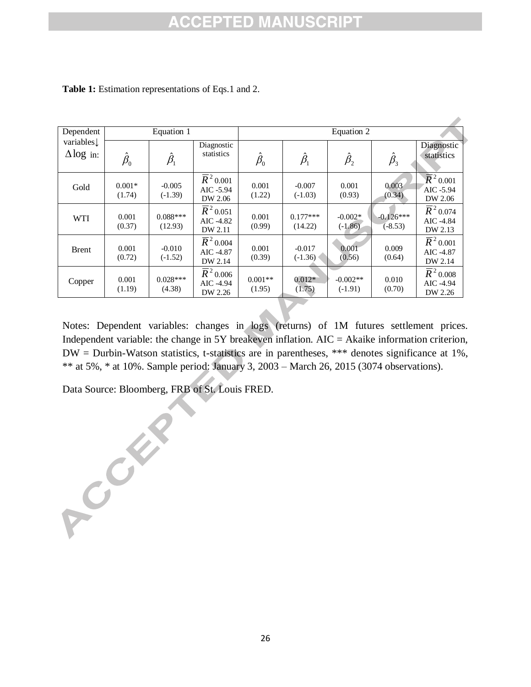| Dependent                     | Equation 1                           |                                      |                                                           | Equation 2                           |                                      |                         |                          |                                                           |
|-------------------------------|--------------------------------------|--------------------------------------|-----------------------------------------------------------|--------------------------------------|--------------------------------------|-------------------------|--------------------------|-----------------------------------------------------------|
| variables<br>$\Delta$ log in: | $\hat{\beta}_{\scriptscriptstyle 0}$ | $\hat{\beta}_{\scriptscriptstyle 1}$ | Diagnostic<br>statistics                                  | $\hat{\beta}_{\scriptscriptstyle 0}$ | $\hat{\beta}_{\scriptscriptstyle 1}$ | $\hat{\beta}_{2}$       | $\hat{\beta}_3$          | Diagnostic<br>statistics                                  |
| Gold                          | $0.001*$<br>(1.74)                   | $-0.005$<br>$(-1.39)$                | $\overline{R}$ <sup>2</sup> 0.001<br>AIC -5.94<br>DW 2.06 | 0.001<br>(1.22)                      | $-0.007$<br>$(-1.03)$                | 0.001<br>(0.93)         | 0.003<br>(0.34)          | $\overline{R}^2$ 0.001<br>AIC -5.94<br>DW 2.06            |
| <b>WTI</b>                    | 0.001<br>(0.37)                      | $0.088***$<br>(12.93)                | $\overline{R}$ <sup>2</sup> 0.051<br>AIC -4.82<br>DW 2.11 | 0.001<br>(0.99)                      | $0.177***$<br>(14.22)                | $-0.002*$<br>$(-1.86)$  | $-0.126***$<br>$(-8.53)$ | $\overline{R}$ <sup>2</sup> 0.074<br>AIC -4.84<br>DW 2.13 |
| <b>Brent</b>                  | 0.001<br>(0.72)                      | $-0.010$<br>$(-1.52)$                | $\overline{R}$ <sup>2</sup> 0.004<br>AIC -4.87<br>DW 2.14 | 0.001<br>(0.39)                      | $-0.017$<br>$(-1.36)$                | 0.001<br>(0.56)         | 0.009<br>(0.64)          | $\overline{R}$ <sup>2</sup> 0.001<br>AIC -4.87<br>DW 2.14 |
| Copper                        | 0.001<br>(1.19)                      | $0.028***$<br>(4.38)                 | $\overline{R}$ <sup>2</sup> 0.006<br>AIC -4.94<br>DW 2.26 | $0.001**$<br>(1.95)                  | $0.012*$<br>(1.75)                   | $-0.002**$<br>$(-1.91)$ | 0.010<br>(0.70)          | $\overline{R}$ <sup>2</sup> 0.008<br>AIC -4.94<br>DW 2.26 |

**Table 1:** Estimation representations of Eqs.1 and 2.

Notes: Dependent variables: changes in logs (returns) of 1M futures settlement prices. Independent variable: the change in 5Y breakeven inflation. AIC = Akaike information criterion, DW = Durbin-Watson statistics, t-statistics are in parentheses, \*\*\* denotes significance at 1%, \*\* at 5%, \* at 10%. Sample period: January 3, 2003 – March 26, 2015 (3074 observations).

Data Source: Bloomberg, FRB of St. Louis FRED.

ACCENT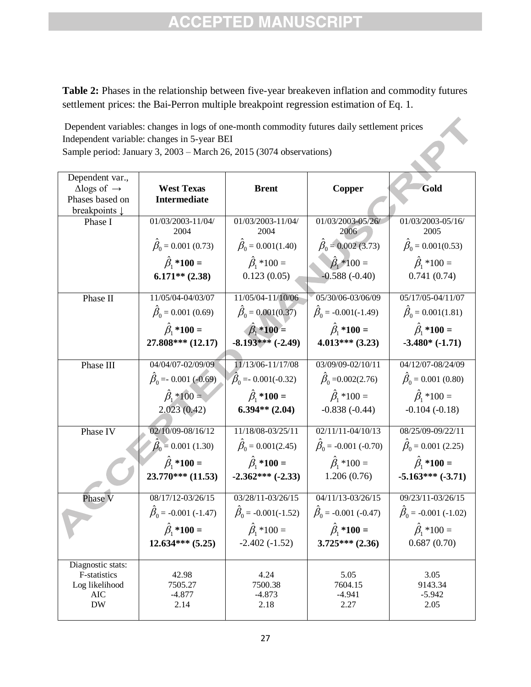**Table 2:** Phases in the relationship between five-year breakeven inflation and commodity futures settlement prices: the Bai-Perron multiple breakpoint regression estimation of Eq. 1.

Dependent variables: changes in logs of one-month commodity futures daily settlement prices Independent variable: changes in 5-year BEI Sample period: January 3, 2003 – March 26, 2015 (3074 observations)

| Dependent var.,<br>$\Delta$ logs of $\rightarrow$ | <b>West Texas</b>                |                                 |                                  | Gold                             |
|---------------------------------------------------|----------------------------------|---------------------------------|----------------------------------|----------------------------------|
| Phases based on                                   | <b>Intermediate</b>              | <b>Brent</b>                    | Copper                           |                                  |
| breakpoints $\downarrow$                          |                                  |                                 |                                  |                                  |
| Phase I                                           | 01/03/2003-11/04/<br>2004        | 01/03/2003-11/04/<br>2004       | 01/03/2003-05/26/<br>2006        | 01/03/2003-05/16/<br>2005        |
|                                                   | $\hat{\beta}_0$ = 0.001 (0.73)   | $\hat{\beta}_0 = 0.001(1.40)$   | $\hat{\beta}_0$ = 0.002 (3.73)   | $\hat{\beta}_0 = 0.001(0.53)$    |
|                                                   | $\hat{\beta}_1$ *100 =           | $\hat{\beta}_1 * 100 =$         | $\hat{\beta}_1 * 100 =$          | $\hat{\beta}_1 * 100 =$          |
|                                                   | $6.171**$ (2.38)                 | 0.123(0.05)                     | $-0.588(-0.40)$                  | 0.741(0.74)                      |
|                                                   |                                  |                                 |                                  |                                  |
| Phase II                                          | 11/05/04-04/03/07                | 11/05/04-11/10/06               | 05/30/06-03/06/09                | 05/17/05-04/11/07                |
|                                                   | $\hat{\beta}_0 = 0.001$ (0.69)   | $\hat{\beta}_0 = 0.001(0.37)$   | $\hat{\beta}_0$ = -0.001(-1.49)  | $\hat{\beta}_0 = 0.001(1.81)$    |
|                                                   | $\hat{\beta}_1$ *100 =           | $\hat{\beta}_1^*$ *100 =        | $\hat{\beta}_1$ *100 =           | $\hat{\beta}_1^*$ *100 =         |
|                                                   | 27.808*** (12.17)                | $-8.193***(-2.49)$              | $4.013***$ (3.23)                | $-3.480*(-1.71)$                 |
|                                                   |                                  |                                 |                                  |                                  |
| Phase III                                         | 04/04/07-02/09/09                | 11/13/06-11/17/08               | 03/09/09-02/10/11                | 04/12/07-08/24/09                |
|                                                   | $\hat{\beta}_0 = 0.001 (-0.69)$  | $\hat{\beta}_0 = 0.001(-0.32)$  | $\hat{\beta}_0 = 0.002(2.76)$    | $\hat{\beta}_0$ = 0.001 (0.80)   |
|                                                   | $\hat{\beta}_1 * 100 =$          | $\hat{\beta}_1^*$ *100 =        | $\hat{\beta}_1 * 100 =$          | $\hat{\beta}_1 * 100 =$          |
|                                                   | 2.023(0.42)                      | $6.394**$ (2.04)                | $-0.838(-0.44)$                  | $-0.104(-0.18)$                  |
| Phase IV                                          | 02/10/09-08/16/12                | 11/18/08-03/25/11               | $02/11/11 - 04/10/13$            | 08/25/09-09/22/11                |
|                                                   | $\beta_0 = 0.001$ (1.30)         | $\hat{\beta}_0 = 0.001(2.45)$   | $\hat{\beta}_0$ = -0.001 (-0.70) | $\hat{\beta}_0$ = 0.001 (2.25)   |
|                                                   | $\hat{\beta}_1$ *100 =           | $\hat{\beta}_1$ *100 =          | $\hat{\beta}_1 * 100 =$          | $\hat{\beta}_1$ *100 =           |
|                                                   | $23.770***$ (11.53)              | $-2.362***(-2.33)$              | 1.206(0.76)                      | $-5.163***(-3.71)$               |
| Phase V                                           | 08/17/12-03/26/15                | 03/28/11-03/26/15               | $04/11/13 - 03/26/15$            | 09/23/11-03/26/15                |
|                                                   | $\hat{\beta}_0$ = -0.001 (-1.47) | $\hat{\beta}_0$ = -0.001(-1.52) | $\hat{\beta}_0$ = -0.001 (-0.47) | $\hat{\beta}_0$ = -0.001 (-1.02) |
|                                                   | $\hat{\beta}_1^*$ *100 =         | $\hat{\beta}_1 * 100 =$         | $\hat{\beta}_1^*$ *100 =         | $\hat{\beta}_1 * 100 =$          |
|                                                   | $12.634***$ (5.25)               | $-2.402(-1.52)$                 | $3.725***$ (2.36)                | 0.687(0.70)                      |
|                                                   |                                  |                                 |                                  |                                  |
| Diagnostic stats:                                 |                                  |                                 |                                  |                                  |
| F-statistics<br>Log likelihood                    | 42.98<br>7505.27                 | 4.24<br>7500.38                 | 5.05<br>7604.15                  | 3.05<br>9143.34                  |
| AIC                                               | $-4.877$                         | $-4.873$                        | $-4.941$                         | $-5.942$                         |
| <b>DW</b>                                         | 2.14                             | 2.18                            | 2.27                             | 2.05                             |
|                                                   |                                  |                                 |                                  |                                  |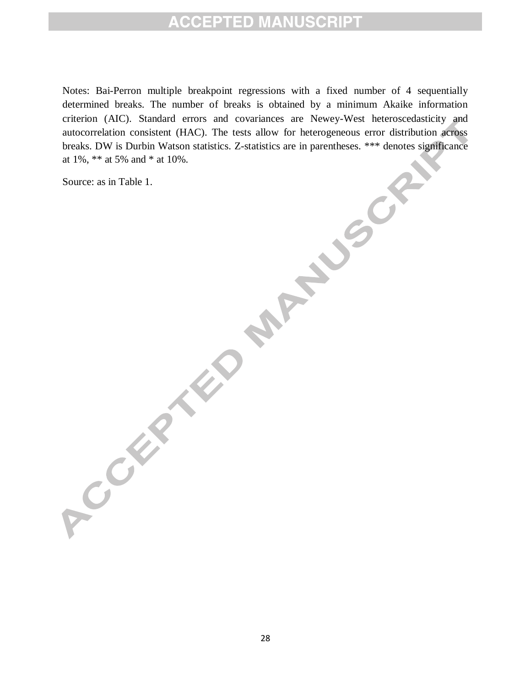Notes: Bai-Perron multiple breakpoint regressions with a fixed number of 4 sequentially determined breaks. The number of breaks is obtained by a minimum Akaike information criterion (AIC). Standard errors and covariances are Newey-West heteroscedasticity and autocorrelation consistent (HAC). The tests allow for heterogeneous error distribution across breaks. DW is Durbin Watson statistics. Z-statistics are in parentheses. \*\*\* denotes significance at 1%, \*\* at 5% and \* at 10%.

Source: as in Table 1.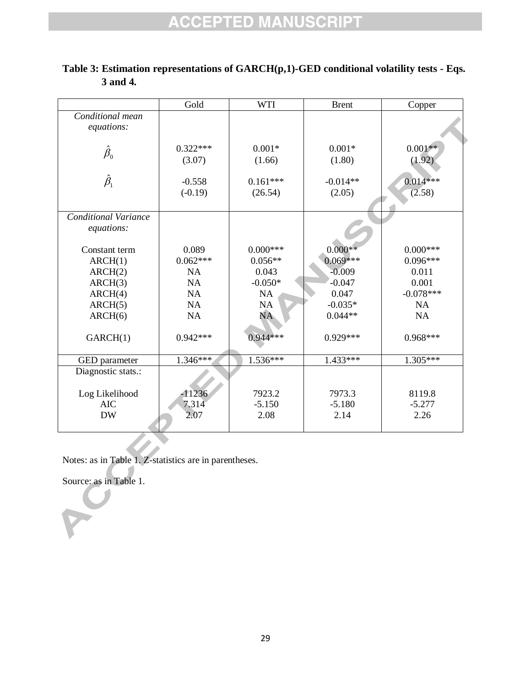| Gold       | <b>WTI</b>                                                | <b>Brent</b>                                              | Copper                                        |
|------------|-----------------------------------------------------------|-----------------------------------------------------------|-----------------------------------------------|
|            |                                                           |                                                           |                                               |
|            |                                                           |                                                           | $0.001**$                                     |
|            |                                                           |                                                           | (1.92)                                        |
|            |                                                           |                                                           |                                               |
| $-0.558$   | $0.161***$                                                | $-0.014**$                                                | $0.014***$                                    |
| $(-0.19)$  | (26.54)                                                   | (2.05)                                                    | (2.58)                                        |
|            |                                                           |                                                           |                                               |
|            |                                                           |                                                           |                                               |
|            |                                                           |                                                           |                                               |
|            |                                                           |                                                           |                                               |
|            |                                                           |                                                           | $0.000***$                                    |
|            |                                                           |                                                           | $0.096***$                                    |
| <b>NA</b>  | 0.043                                                     | $-0.009$                                                  | 0.011                                         |
| <b>NA</b>  | $-0.050*$                                                 | $-0.047$                                                  | 0.001                                         |
| <b>NA</b>  | <b>NA</b>                                                 | 0.047                                                     | $-0.078***$                                   |
| NA         | NA                                                        | $-0.035*$                                                 | <b>NA</b>                                     |
| NA         | <b>NA</b>                                                 | $0.044**$                                                 | NA                                            |
|            |                                                           |                                                           |                                               |
| $0.942***$ | $0.944***$                                                | $0.929***$                                                | $0.968***$                                    |
|            |                                                           |                                                           |                                               |
|            |                                                           | 1.433***                                                  | 1.305***                                      |
|            |                                                           |                                                           |                                               |
|            |                                                           |                                                           |                                               |
| $-11236$   | 7923.2                                                    | 7973.3                                                    | 8119.8                                        |
| 7.314      | $-5.150$                                                  | $-5.180$                                                  | $-5.277$                                      |
| 2.07       | 2.08                                                      | 2.14                                                      | 2.26                                          |
|            |                                                           |                                                           |                                               |
|            | $0.322***$<br>(3.07)<br>0.089<br>$0.062***$<br>$1.346***$ | $0.001*$<br>(1.66)<br>$0.000***$<br>$0.056**$<br>1.536*** | $0.001*$<br>(1.80)<br>$0.000**$<br>$0.069***$ |

**Table 3: Estimation representations of GARCH(p,1)-GED conditional volatility tests - Eqs. 3 and 4.**

Notes: as in Table 1. Z-statistics are in parentheses.

Source: as in Table 1.